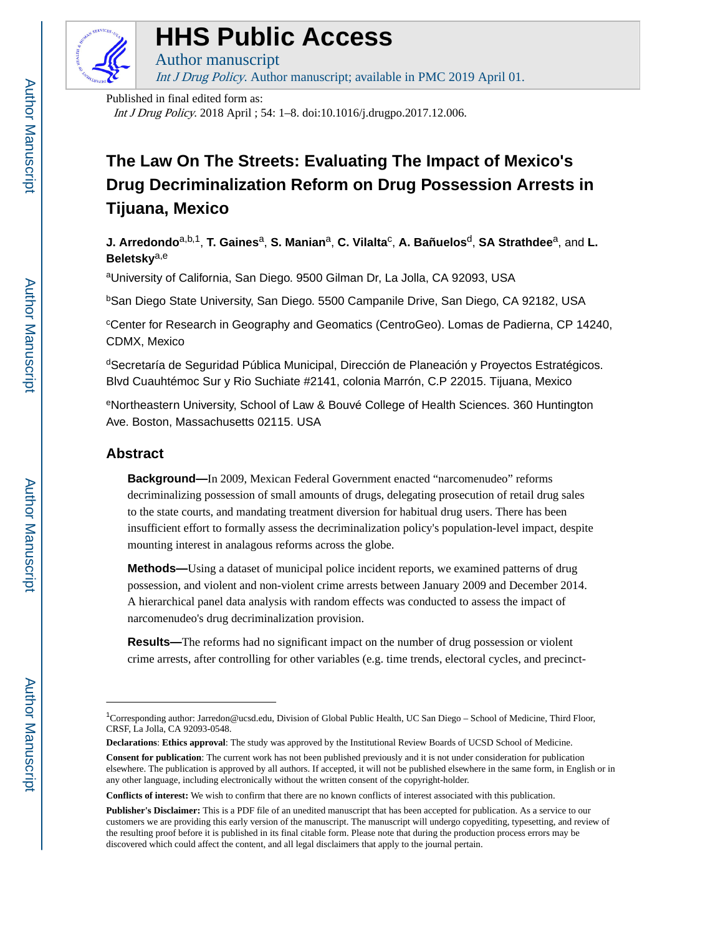

## **HHS Public Access**

Author manuscript Int J Drug Policy. Author manuscript; available in PMC 2019 April 01.

Published in final edited form as:

Int J Drug Policy. 2018 April ; 54: 1–8. doi:10.1016/j.drugpo.2017.12.006.

### **The Law On The Streets: Evaluating The Impact of Mexico's Drug Decriminalization Reform on Drug Possession Arrests in Tijuana, Mexico**

**J. Arredondo**a,b,1, **T. Gaines**a, **S. Manian**a, **C. Vilalta**<sup>c</sup> , **A. Bañuelos**d, **SA Strathdee**a, and **L. Beletsky**a,e

<sup>a</sup>University of California, San Diego. 9500 Gilman Dr, La Jolla, CA 92093, USA

<sup>b</sup>San Diego State University, San Diego. 5500 Campanile Drive, San Diego, CA 92182, USA

<sup>c</sup>Center for Research in Geography and Geomatics (CentroGeo). Lomas de Padierna, CP 14240, CDMX, Mexico

<sup>d</sup>Secretaría de Seguridad Pública Municipal, Dirección de Planeación y Proyectos Estratégicos. Blvd Cuauhtémoc Sur y Rio Suchiate #2141, colonia Marrón, C.P 22015. Tijuana, Mexico

<sup>e</sup>Northeastern University, School of Law & Bouvé College of Health Sciences. 360 Huntington Ave. Boston, Massachusetts 02115. USA

#### **Abstract**

**Background—**In 2009, Mexican Federal Government enacted "narcomenudeo" reforms decriminalizing possession of small amounts of drugs, delegating prosecution of retail drug sales to the state courts, and mandating treatment diversion for habitual drug users. There has been insufficient effort to formally assess the decriminalization policy's population-level impact, despite mounting interest in analagous reforms across the globe.

**Methods—**Using a dataset of municipal police incident reports, we examined patterns of drug possession, and violent and non-violent crime arrests between January 2009 and December 2014. A hierarchical panel data analysis with random effects was conducted to assess the impact of narcomenudeo's drug decriminalization provision.

**Results—**The reforms had no significant impact on the number of drug possession or violent crime arrests, after controlling for other variables (e.g. time trends, electoral cycles, and precinct-

<sup>1</sup>Corresponding author: Jarredon@ucsd.edu, Division of Global Public Health, UC San Diego – School of Medicine, Third Floor, CRSF, La Jolla, CA 92093-0548.

**Declarations**: **Ethics approval**: The study was approved by the Institutional Review Boards of UCSD School of Medicine.

**Consent for publication**: The current work has not been published previously and it is not under consideration for publication elsewhere. The publication is approved by all authors. If accepted, it will not be published elsewhere in the same form, in English or in any other language, including electronically without the written consent of the copyright-holder.

**Conflicts of interest:** We wish to confirm that there are no known conflicts of interest associated with this publication.

**Publisher's Disclaimer:** This is a PDF file of an unedited manuscript that has been accepted for publication. As a service to our customers we are providing this early version of the manuscript. The manuscript will undergo copyediting, typesetting, and review of the resulting proof before it is published in its final citable form. Please note that during the production process errors may be discovered which could affect the content, and all legal disclaimers that apply to the journal pertain.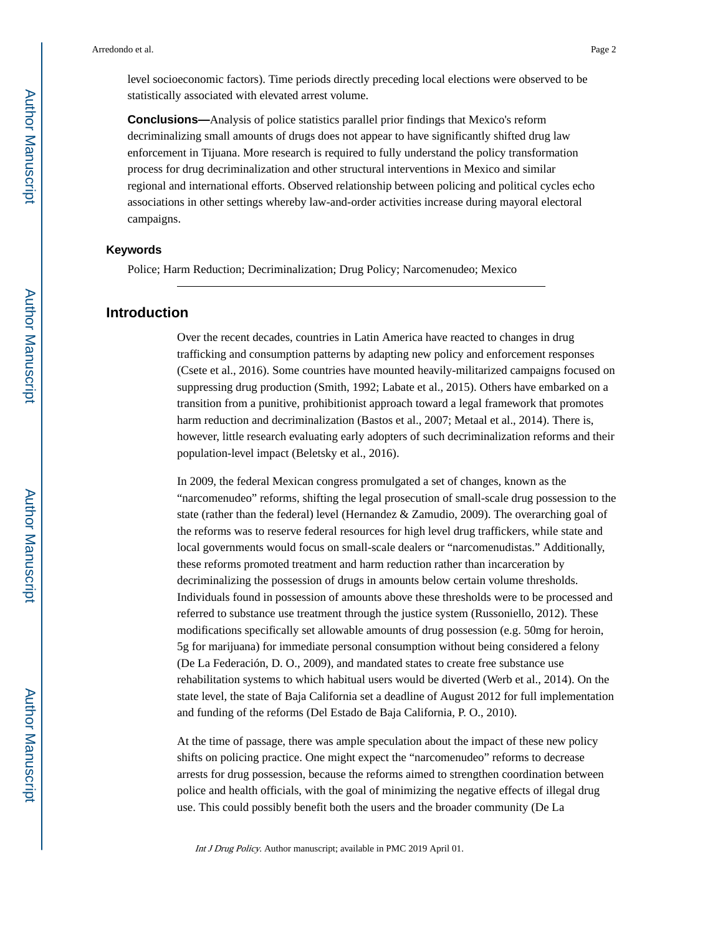level socioeconomic factors). Time periods directly preceding local elections were observed to be statistically associated with elevated arrest volume.

**Conclusions—**Analysis of police statistics parallel prior findings that Mexico's reform decriminalizing small amounts of drugs does not appear to have significantly shifted drug law enforcement in Tijuana. More research is required to fully understand the policy transformation process for drug decriminalization and other structural interventions in Mexico and similar regional and international efforts. Observed relationship between policing and political cycles echo associations in other settings whereby law-and-order activities increase during mayoral electoral campaigns.

#### **Keywords**

Police; Harm Reduction; Decriminalization; Drug Policy; Narcomenudeo; Mexico

#### **Introduction**

Over the recent decades, countries in Latin America have reacted to changes in drug trafficking and consumption patterns by adapting new policy and enforcement responses (Csete et al., 2016). Some countries have mounted heavily-militarized campaigns focused on suppressing drug production (Smith, 1992; Labate et al., 2015). Others have embarked on a transition from a punitive, prohibitionist approach toward a legal framework that promotes harm reduction and decriminalization (Bastos et al., 2007; Metaal et al., 2014). There is, however, little research evaluating early adopters of such decriminalization reforms and their population-level impact (Beletsky et al., 2016).

In 2009, the federal Mexican congress promulgated a set of changes, known as the "narcomenudeo" reforms, shifting the legal prosecution of small-scale drug possession to the state (rather than the federal) level (Hernandez & Zamudio, 2009). The overarching goal of the reforms was to reserve federal resources for high level drug traffickers, while state and local governments would focus on small-scale dealers or "narcomenudistas." Additionally, these reforms promoted treatment and harm reduction rather than incarceration by decriminalizing the possession of drugs in amounts below certain volume thresholds. Individuals found in possession of amounts above these thresholds were to be processed and referred to substance use treatment through the justice system (Russoniello, 2012). These modifications specifically set allowable amounts of drug possession (e.g. 50mg for heroin, 5g for marijuana) for immediate personal consumption without being considered a felony (De La Federación, D. O., 2009), and mandated states to create free substance use rehabilitation systems to which habitual users would be diverted (Werb et al., 2014). On the state level, the state of Baja California set a deadline of August 2012 for full implementation and funding of the reforms (Del Estado de Baja California, P. O., 2010).

At the time of passage, there was ample speculation about the impact of these new policy shifts on policing practice. One might expect the "narcomenudeo" reforms to decrease arrests for drug possession, because the reforms aimed to strengthen coordination between police and health officials, with the goal of minimizing the negative effects of illegal drug use. This could possibly benefit both the users and the broader community (De La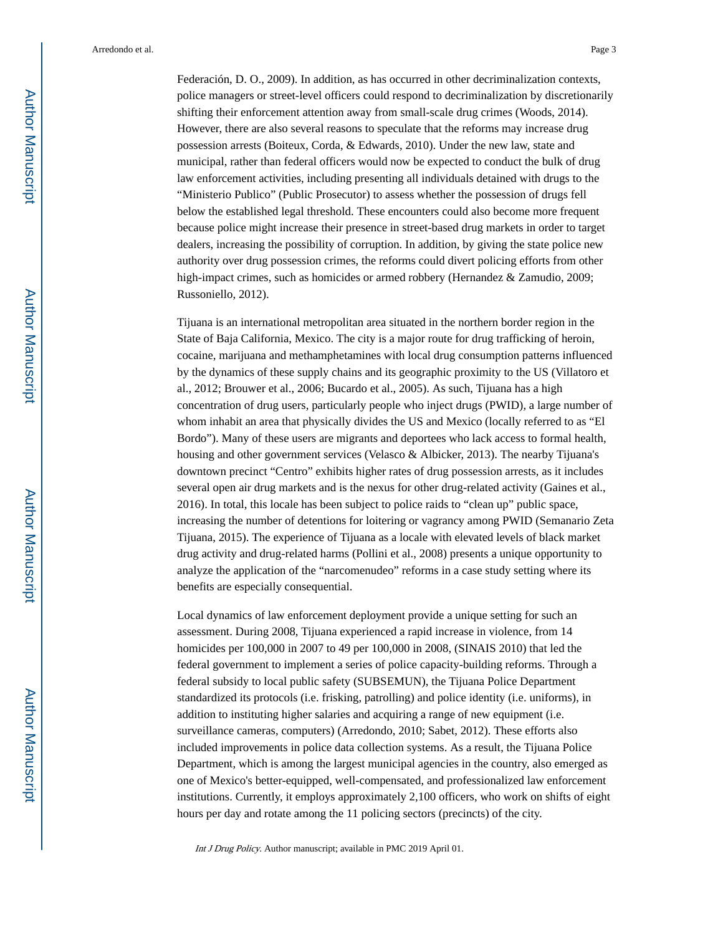Federación, D. O., 2009). In addition, as has occurred in other decriminalization contexts, police managers or street-level officers could respond to decriminalization by discretionarily shifting their enforcement attention away from small-scale drug crimes (Woods, 2014). However, there are also several reasons to speculate that the reforms may increase drug possession arrests (Boiteux, Corda, & Edwards, 2010). Under the new law, state and municipal, rather than federal officers would now be expected to conduct the bulk of drug law enforcement activities, including presenting all individuals detained with drugs to the "Ministerio Publico" (Public Prosecutor) to assess whether the possession of drugs fell below the established legal threshold. These encounters could also become more frequent because police might increase their presence in street-based drug markets in order to target dealers, increasing the possibility of corruption. In addition, by giving the state police new authority over drug possession crimes, the reforms could divert policing efforts from other high-impact crimes, such as homicides or armed robbery (Hernandez & Zamudio, 2009; Russoniello, 2012).

Tijuana is an international metropolitan area situated in the northern border region in the State of Baja California, Mexico. The city is a major route for drug trafficking of heroin, cocaine, marijuana and methamphetamines with local drug consumption patterns influenced by the dynamics of these supply chains and its geographic proximity to the US (Villatoro et al., 2012; Brouwer et al., 2006; Bucardo et al., 2005). As such, Tijuana has a high concentration of drug users, particularly people who inject drugs (PWID), a large number of whom inhabit an area that physically divides the US and Mexico (locally referred to as "El Bordo"). Many of these users are migrants and deportees who lack access to formal health, housing and other government services (Velasco & Albicker, 2013). The nearby Tijuana's downtown precinct "Centro" exhibits higher rates of drug possession arrests, as it includes several open air drug markets and is the nexus for other drug-related activity (Gaines et al., 2016). In total, this locale has been subject to police raids to "clean up" public space, increasing the number of detentions for loitering or vagrancy among PWID (Semanario Zeta Tijuana, 2015). The experience of Tijuana as a locale with elevated levels of black market drug activity and drug-related harms (Pollini et al., 2008) presents a unique opportunity to analyze the application of the "narcomenudeo" reforms in a case study setting where its benefits are especially consequential.

Local dynamics of law enforcement deployment provide a unique setting for such an assessment. During 2008, Tijuana experienced a rapid increase in violence, from 14 homicides per 100,000 in 2007 to 49 per 100,000 in 2008, (SINAIS 2010) that led the federal government to implement a series of police capacity-building reforms. Through a federal subsidy to local public safety (SUBSEMUN), the Tijuana Police Department standardized its protocols (i.e. frisking, patrolling) and police identity (i.e. uniforms), in addition to instituting higher salaries and acquiring a range of new equipment (i.e. surveillance cameras, computers) (Arredondo, 2010; Sabet, 2012). These efforts also included improvements in police data collection systems. As a result, the Tijuana Police Department, which is among the largest municipal agencies in the country, also emerged as one of Mexico's better-equipped, well-compensated, and professionalized law enforcement institutions. Currently, it employs approximately 2,100 officers, who work on shifts of eight hours per day and rotate among the 11 policing sectors (precincts) of the city.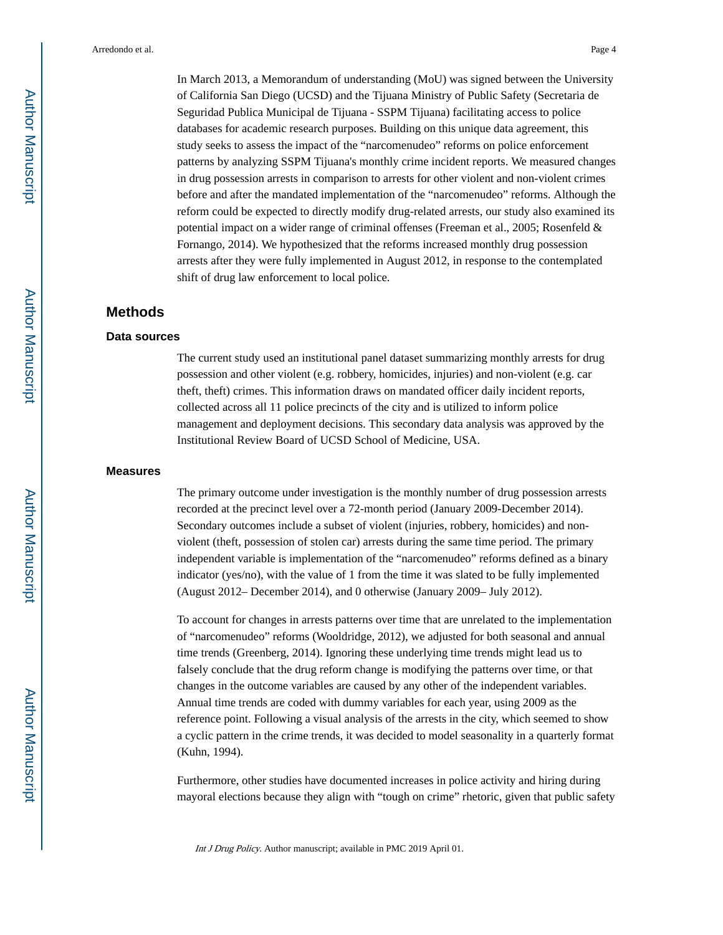In March 2013, a Memorandum of understanding (MoU) was signed between the University of California San Diego (UCSD) and the Tijuana Ministry of Public Safety (Secretaria de Seguridad Publica Municipal de Tijuana - SSPM Tijuana) facilitating access to police databases for academic research purposes. Building on this unique data agreement, this study seeks to assess the impact of the "narcomenudeo" reforms on police enforcement patterns by analyzing SSPM Tijuana's monthly crime incident reports. We measured changes in drug possession arrests in comparison to arrests for other violent and non-violent crimes before and after the mandated implementation of the "narcomenudeo" reforms. Although the reform could be expected to directly modify drug-related arrests, our study also examined its potential impact on a wider range of criminal offenses (Freeman et al., 2005; Rosenfeld & Fornango, 2014). We hypothesized that the reforms increased monthly drug possession arrests after they were fully implemented in August 2012, in response to the contemplated shift of drug law enforcement to local police.

#### **Methods**

#### **Data sources**

The current study used an institutional panel dataset summarizing monthly arrests for drug possession and other violent (e.g. robbery, homicides, injuries) and non-violent (e.g. car theft, theft) crimes. This information draws on mandated officer daily incident reports, collected across all 11 police precincts of the city and is utilized to inform police management and deployment decisions. This secondary data analysis was approved by the Institutional Review Board of UCSD School of Medicine, USA.

#### **Measures**

The primary outcome under investigation is the monthly number of drug possession arrests recorded at the precinct level over a 72-month period (January 2009-December 2014). Secondary outcomes include a subset of violent (injuries, robbery, homicides) and nonviolent (theft, possession of stolen car) arrests during the same time period. The primary independent variable is implementation of the "narcomenudeo" reforms defined as a binary indicator (yes/no), with the value of 1 from the time it was slated to be fully implemented (August 2012– December 2014), and 0 otherwise (January 2009– July 2012).

To account for changes in arrests patterns over time that are unrelated to the implementation of "narcomenudeo" reforms (Wooldridge, 2012), we adjusted for both seasonal and annual time trends (Greenberg, 2014). Ignoring these underlying time trends might lead us to falsely conclude that the drug reform change is modifying the patterns over time, or that changes in the outcome variables are caused by any other of the independent variables. Annual time trends are coded with dummy variables for each year, using 2009 as the reference point. Following a visual analysis of the arrests in the city, which seemed to show a cyclic pattern in the crime trends, it was decided to model seasonality in a quarterly format (Kuhn, 1994).

Furthermore, other studies have documented increases in police activity and hiring during mayoral elections because they align with "tough on crime" rhetoric, given that public safety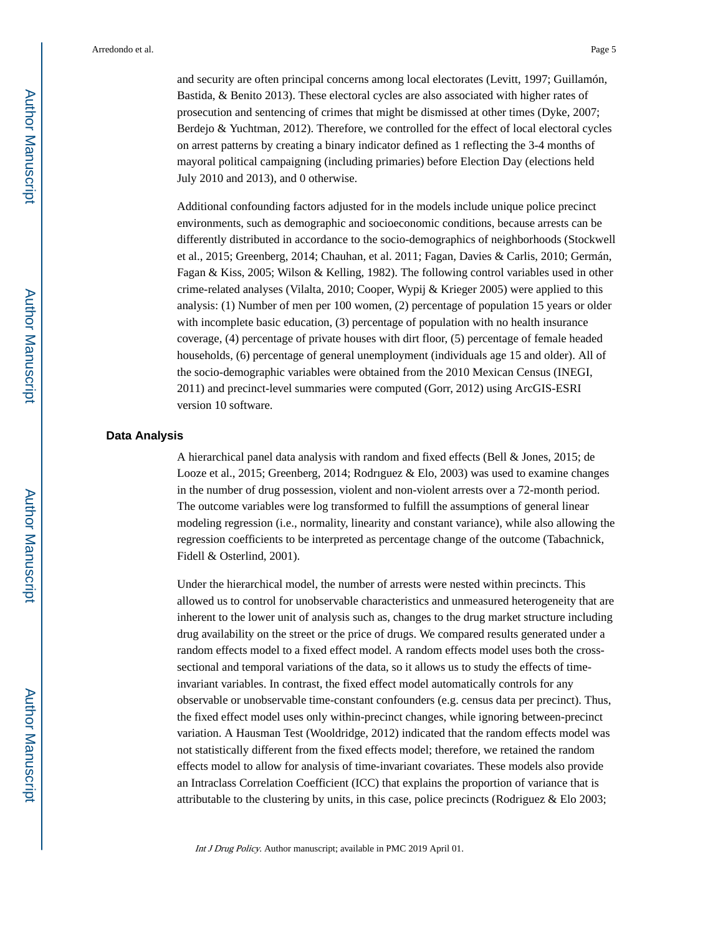and security are often principal concerns among local electorates (Levitt, 1997; Guillamón, Bastida, & Benito 2013). These electoral cycles are also associated with higher rates of prosecution and sentencing of crimes that might be dismissed at other times (Dyke, 2007; Berdejo & Yuchtman, 2012). Therefore, we controlled for the effect of local electoral cycles on arrest patterns by creating a binary indicator defined as 1 reflecting the 3-4 months of mayoral political campaigning (including primaries) before Election Day (elections held July 2010 and 2013), and 0 otherwise.

Additional confounding factors adjusted for in the models include unique police precinct environments, such as demographic and socioeconomic conditions, because arrests can be differently distributed in accordance to the socio-demographics of neighborhoods (Stockwell et al., 2015; Greenberg, 2014; Chauhan, et al. 2011; Fagan, Davies & Carlis, 2010; Germán, Fagan & Kiss, 2005; Wilson & Kelling, 1982). The following control variables used in other crime-related analyses (Vilalta, 2010; Cooper, Wypij & Krieger 2005) were applied to this analysis: (1) Number of men per 100 women, (2) percentage of population 15 years or older with incomplete basic education, (3) percentage of population with no health insurance coverage, (4) percentage of private houses with dirt floor, (5) percentage of female headed households, (6) percentage of general unemployment (individuals age 15 and older). All of the socio-demographic variables were obtained from the 2010 Mexican Census (INEGI, 2011) and precinct-level summaries were computed (Gorr, 2012) using ArcGIS-ESRI version 10 software.

#### **Data Analysis**

A hierarchical panel data analysis with random and fixed effects (Bell & Jones, 2015; de Looze et al., 2015; Greenberg, 2014; Rodrıguez & Elo, 2003) was used to examine changes in the number of drug possession, violent and non-violent arrests over a 72-month period. The outcome variables were log transformed to fulfill the assumptions of general linear modeling regression (i.e., normality, linearity and constant variance), while also allowing the regression coefficients to be interpreted as percentage change of the outcome (Tabachnick, Fidell & Osterlind, 2001).

Under the hierarchical model, the number of arrests were nested within precincts. This allowed us to control for unobservable characteristics and unmeasured heterogeneity that are inherent to the lower unit of analysis such as, changes to the drug market structure including drug availability on the street or the price of drugs. We compared results generated under a random effects model to a fixed effect model. A random effects model uses both the crosssectional and temporal variations of the data, so it allows us to study the effects of timeinvariant variables. In contrast, the fixed effect model automatically controls for any observable or unobservable time-constant confounders (e.g. census data per precinct). Thus, the fixed effect model uses only within-precinct changes, while ignoring between-precinct variation. A Hausman Test (Wooldridge, 2012) indicated that the random effects model was not statistically different from the fixed effects model; therefore, we retained the random effects model to allow for analysis of time-invariant covariates. These models also provide an Intraclass Correlation Coefficient (ICC) that explains the proportion of variance that is attributable to the clustering by units, in this case, police precincts (Rodriguez & Elo 2003;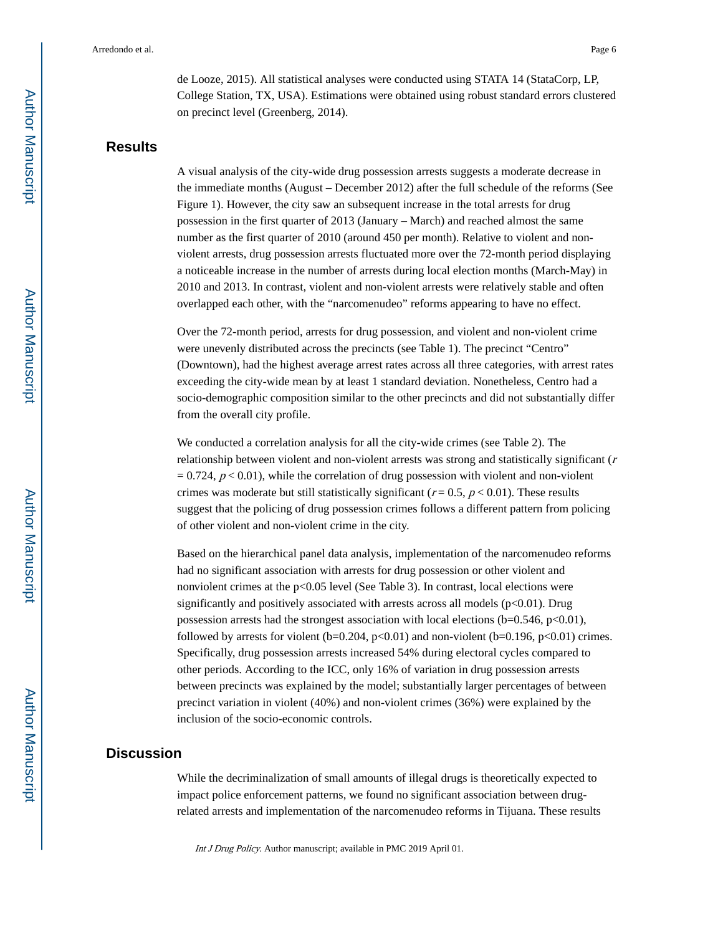de Looze, 2015). All statistical analyses were conducted using STATA 14 (StataCorp, LP, College Station, TX, USA). Estimations were obtained using robust standard errors clustered on precinct level (Greenberg, 2014).

#### **Results**

A visual analysis of the city-wide drug possession arrests suggests a moderate decrease in the immediate months (August – December 2012) after the full schedule of the reforms (See Figure 1). However, the city saw an subsequent increase in the total arrests for drug possession in the first quarter of 2013 (January – March) and reached almost the same number as the first quarter of 2010 (around 450 per month). Relative to violent and nonviolent arrests, drug possession arrests fluctuated more over the 72-month period displaying a noticeable increase in the number of arrests during local election months (March-May) in 2010 and 2013. In contrast, violent and non-violent arrests were relatively stable and often overlapped each other, with the "narcomenudeo" reforms appearing to have no effect.

Over the 72-month period, arrests for drug possession, and violent and non-violent crime were unevenly distributed across the precincts (see Table 1). The precinct "Centro" (Downtown), had the highest average arrest rates across all three categories, with arrest rates exceeding the city-wide mean by at least 1 standard deviation. Nonetheless, Centro had a socio-demographic composition similar to the other precincts and did not substantially differ from the overall city profile.

We conducted a correlation analysis for all the city-wide crimes (see Table 2). The relationship between violent and non-violent arrests was strong and statistically significant (<sup>r</sup>  $= 0.724$ ,  $p < 0.01$ ), while the correlation of drug possession with violent and non-violent crimes was moderate but still statistically significant ( $r = 0.5$ ,  $p < 0.01$ ). These results suggest that the policing of drug possession crimes follows a different pattern from policing of other violent and non-violent crime in the city.

Based on the hierarchical panel data analysis, implementation of the narcomenudeo reforms had no significant association with arrests for drug possession or other violent and nonviolent crimes at the  $p<0.05$  level (See Table 3). In contrast, local elections were significantly and positively associated with arrests across all models  $(p<0.01)$ . Drug possession arrests had the strongest association with local elections ( $b=0.546$ ,  $p<0.01$ ), followed by arrests for violent  $(b=0.204, p<0.01)$  and non-violent  $(b=0.196, p<0.01)$  crimes. Specifically, drug possession arrests increased 54% during electoral cycles compared to other periods. According to the ICC, only 16% of variation in drug possession arrests between precincts was explained by the model; substantially larger percentages of between precinct variation in violent (40%) and non-violent crimes (36%) were explained by the inclusion of the socio-economic controls.

#### **Discussion**

While the decriminalization of small amounts of illegal drugs is theoretically expected to impact police enforcement patterns, we found no significant association between drugrelated arrests and implementation of the narcomenudeo reforms in Tijuana. These results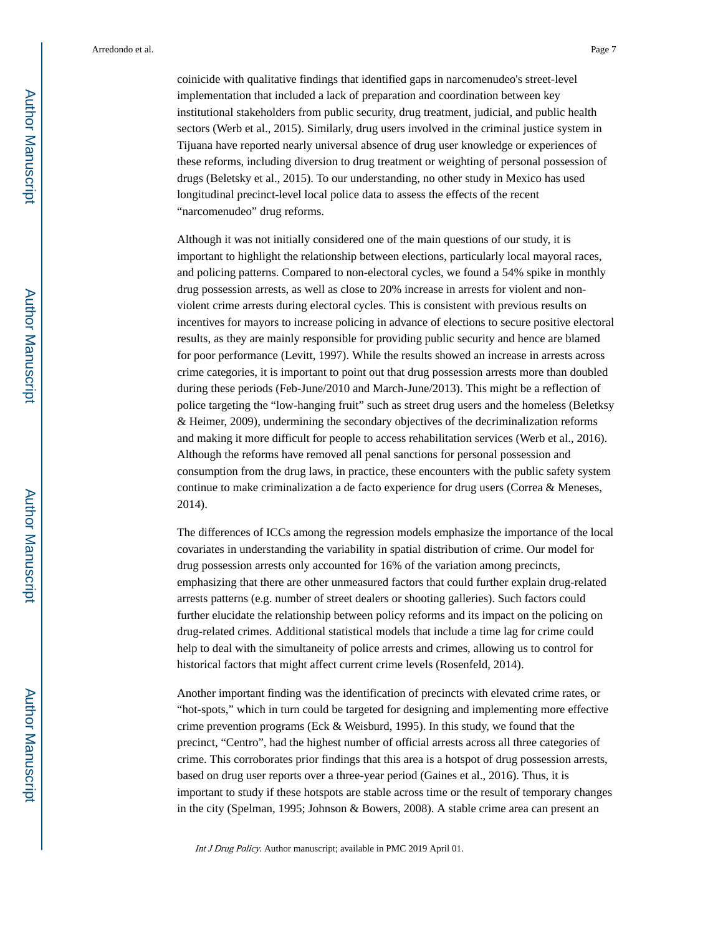coinicide with qualitative findings that identified gaps in narcomenudeo's street-level implementation that included a lack of preparation and coordination between key institutional stakeholders from public security, drug treatment, judicial, and public health sectors (Werb et al., 2015). Similarly, drug users involved in the criminal justice system in Tijuana have reported nearly universal absence of drug user knowledge or experiences of these reforms, including diversion to drug treatment or weighting of personal possession of drugs (Beletsky et al., 2015). To our understanding, no other study in Mexico has used longitudinal precinct-level local police data to assess the effects of the recent "narcomenudeo" drug reforms.

Although it was not initially considered one of the main questions of our study, it is important to highlight the relationship between elections, particularly local mayoral races, and policing patterns. Compared to non-electoral cycles, we found a 54% spike in monthly drug possession arrests, as well as close to 20% increase in arrests for violent and nonviolent crime arrests during electoral cycles. This is consistent with previous results on incentives for mayors to increase policing in advance of elections to secure positive electoral results, as they are mainly responsible for providing public security and hence are blamed for poor performance (Levitt, 1997). While the results showed an increase in arrests across crime categories, it is important to point out that drug possession arrests more than doubled during these periods (Feb-June/2010 and March-June/2013). This might be a reflection of police targeting the "low-hanging fruit" such as street drug users and the homeless (Beletksy & Heimer, 2009), undermining the secondary objectives of the decriminalization reforms and making it more difficult for people to access rehabilitation services (Werb et al., 2016). Although the reforms have removed all penal sanctions for personal possession and consumption from the drug laws, in practice, these encounters with the public safety system continue to make criminalization a de facto experience for drug users (Correa & Meneses, 2014).

The differences of ICCs among the regression models emphasize the importance of the local covariates in understanding the variability in spatial distribution of crime. Our model for drug possession arrests only accounted for 16% of the variation among precincts, emphasizing that there are other unmeasured factors that could further explain drug-related arrests patterns (e.g. number of street dealers or shooting galleries). Such factors could further elucidate the relationship between policy reforms and its impact on the policing on drug-related crimes. Additional statistical models that include a time lag for crime could help to deal with the simultaneity of police arrests and crimes, allowing us to control for historical factors that might affect current crime levels (Rosenfeld, 2014).

Another important finding was the identification of precincts with elevated crime rates, or "hot-spots," which in turn could be targeted for designing and implementing more effective crime prevention programs (Eck & Weisburd, 1995). In this study, we found that the precinct, "Centro", had the highest number of official arrests across all three categories of crime. This corroborates prior findings that this area is a hotspot of drug possession arrests, based on drug user reports over a three-year period (Gaines et al., 2016). Thus, it is important to study if these hotspots are stable across time or the result of temporary changes in the city (Spelman, 1995; Johnson & Bowers, 2008). A stable crime area can present an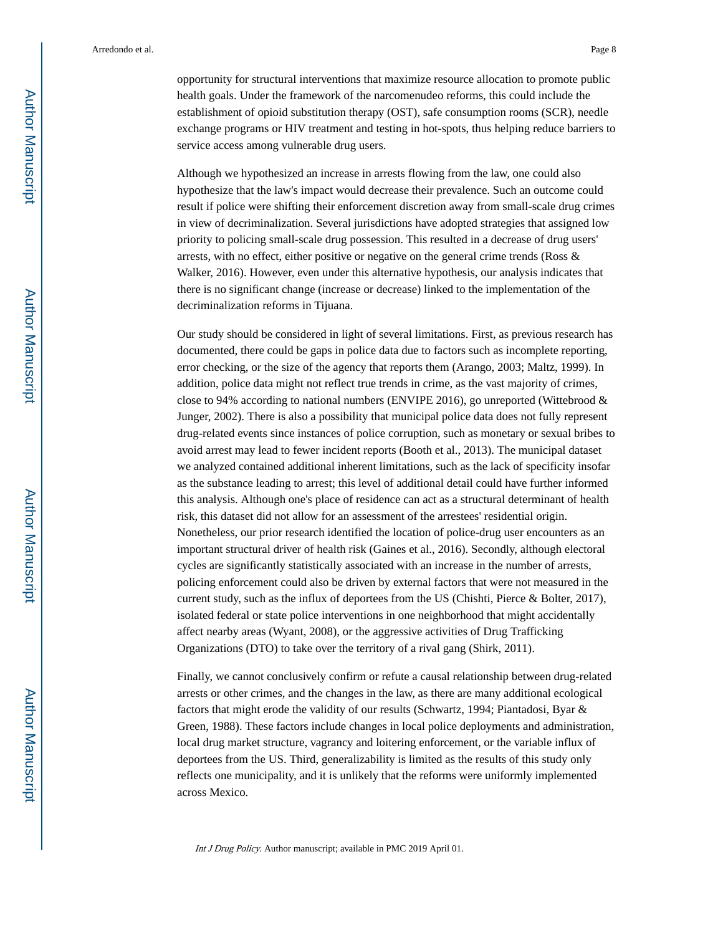opportunity for structural interventions that maximize resource allocation to promote public health goals. Under the framework of the narcomenudeo reforms, this could include the establishment of opioid substitution therapy (OST), safe consumption rooms (SCR), needle exchange programs or HIV treatment and testing in hot-spots, thus helping reduce barriers to service access among vulnerable drug users.

Although we hypothesized an increase in arrests flowing from the law, one could also hypothesize that the law's impact would decrease their prevalence. Such an outcome could result if police were shifting their enforcement discretion away from small-scale drug crimes in view of decriminalization. Several jurisdictions have adopted strategies that assigned low priority to policing small-scale drug possession. This resulted in a decrease of drug users' arrests, with no effect, either positive or negative on the general crime trends (Ross  $\&$ Walker, 2016). However, even under this alternative hypothesis, our analysis indicates that there is no significant change (increase or decrease) linked to the implementation of the decriminalization reforms in Tijuana.

Our study should be considered in light of several limitations. First, as previous research has documented, there could be gaps in police data due to factors such as incomplete reporting, error checking, or the size of the agency that reports them (Arango, 2003; Maltz, 1999). In addition, police data might not reflect true trends in crime, as the vast majority of crimes, close to 94% according to national numbers (ENVIPE 2016), go unreported (Wittebrood & Junger, 2002). There is also a possibility that municipal police data does not fully represent drug-related events since instances of police corruption, such as monetary or sexual bribes to avoid arrest may lead to fewer incident reports (Booth et al., 2013). The municipal dataset we analyzed contained additional inherent limitations, such as the lack of specificity insofar as the substance leading to arrest; this level of additional detail could have further informed this analysis. Although one's place of residence can act as a structural determinant of health risk, this dataset did not allow for an assessment of the arrestees' residential origin. Nonetheless, our prior research identified the location of police-drug user encounters as an important structural driver of health risk (Gaines et al., 2016). Secondly, although electoral cycles are significantly statistically associated with an increase in the number of arrests, policing enforcement could also be driven by external factors that were not measured in the current study, such as the influx of deportees from the US (Chishti, Pierce & Bolter, 2017), isolated federal or state police interventions in one neighborhood that might accidentally affect nearby areas (Wyant, 2008), or the aggressive activities of Drug Trafficking Organizations (DTO) to take over the territory of a rival gang (Shirk, 2011).

Finally, we cannot conclusively confirm or refute a causal relationship between drug-related arrests or other crimes, and the changes in the law, as there are many additional ecological factors that might erode the validity of our results (Schwartz, 1994; Piantadosi, Byar & Green, 1988). These factors include changes in local police deployments and administration, local drug market structure, vagrancy and loitering enforcement, or the variable influx of deportees from the US. Third, generalizability is limited as the results of this study only reflects one municipality, and it is unlikely that the reforms were uniformly implemented across Mexico.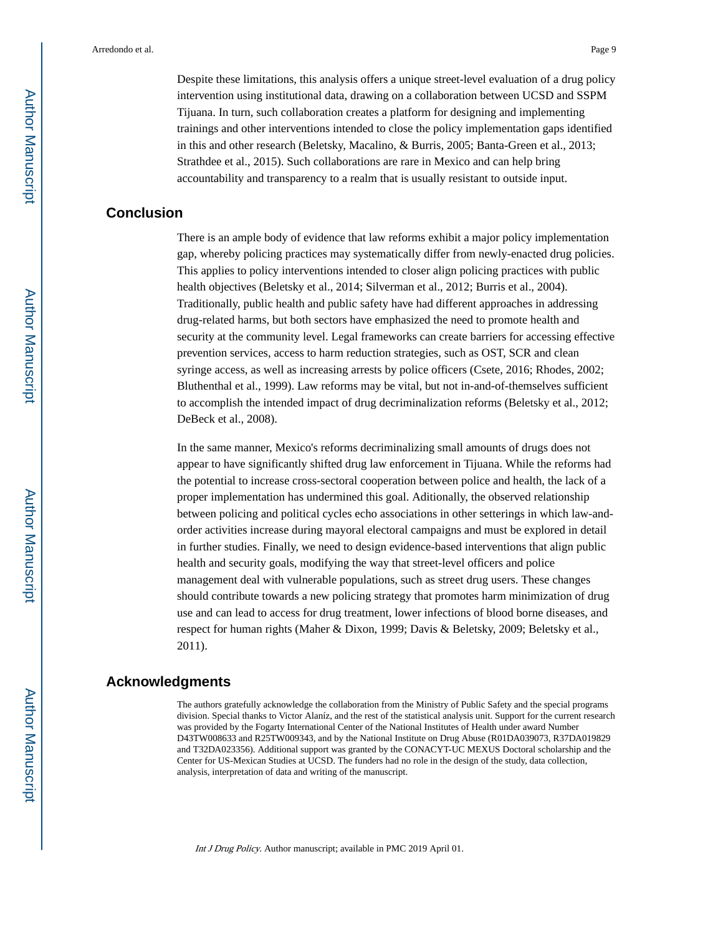Despite these limitations, this analysis offers a unique street-level evaluation of a drug policy intervention using institutional data, drawing on a collaboration between UCSD and SSPM Tijuana. In turn, such collaboration creates a platform for designing and implementing trainings and other interventions intended to close the policy implementation gaps identified in this and other research (Beletsky, Macalino, & Burris, 2005; Banta-Green et al., 2013; Strathdee et al., 2015). Such collaborations are rare in Mexico and can help bring accountability and transparency to a realm that is usually resistant to outside input.

#### **Conclusion**

There is an ample body of evidence that law reforms exhibit a major policy implementation gap, whereby policing practices may systematically differ from newly-enacted drug policies. This applies to policy interventions intended to closer align policing practices with public health objectives (Beletsky et al., 2014; Silverman et al., 2012; Burris et al., 2004). Traditionally, public health and public safety have had different approaches in addressing drug-related harms, but both sectors have emphasized the need to promote health and security at the community level. Legal frameworks can create barriers for accessing effective prevention services, access to harm reduction strategies, such as OST, SCR and clean syringe access, as well as increasing arrests by police officers (Csete, 2016; Rhodes, 2002; Bluthenthal et al., 1999). Law reforms may be vital, but not in-and-of-themselves sufficient to accomplish the intended impact of drug decriminalization reforms (Beletsky et al., 2012; DeBeck et al., 2008).

In the same manner, Mexico's reforms decriminalizing small amounts of drugs does not appear to have significantly shifted drug law enforcement in Tijuana. While the reforms had the potential to increase cross-sectoral cooperation between police and health, the lack of a proper implementation has undermined this goal. Aditionally, the observed relationship between policing and political cycles echo associations in other setterings in which law-andorder activities increase during mayoral electoral campaigns and must be explored in detail in further studies. Finally, we need to design evidence-based interventions that align public health and security goals, modifying the way that street-level officers and police management deal with vulnerable populations, such as street drug users. These changes should contribute towards a new policing strategy that promotes harm minimization of drug use and can lead to access for drug treatment, lower infections of blood borne diseases, and respect for human rights (Maher & Dixon, 1999; Davis & Beletsky, 2009; Beletsky et al., 2011).

#### **Acknowledgments**

The authors gratefully acknowledge the collaboration from the Ministry of Public Safety and the special programs division. Special thanks to Victor Alaníz, and the rest of the statistical analysis unit. Support for the current research was provided by the Fogarty International Center of the National Institutes of Health under award Number D43TW008633 and R25TW009343, and by the National Institute on Drug Abuse (R01DA039073, R37DA019829 and T32DA023356). Additional support was granted by the CONACYT-UC MEXUS Doctoral scholarship and the Center for US-Mexican Studies at UCSD. The funders had no role in the design of the study, data collection, analysis, interpretation of data and writing of the manuscript.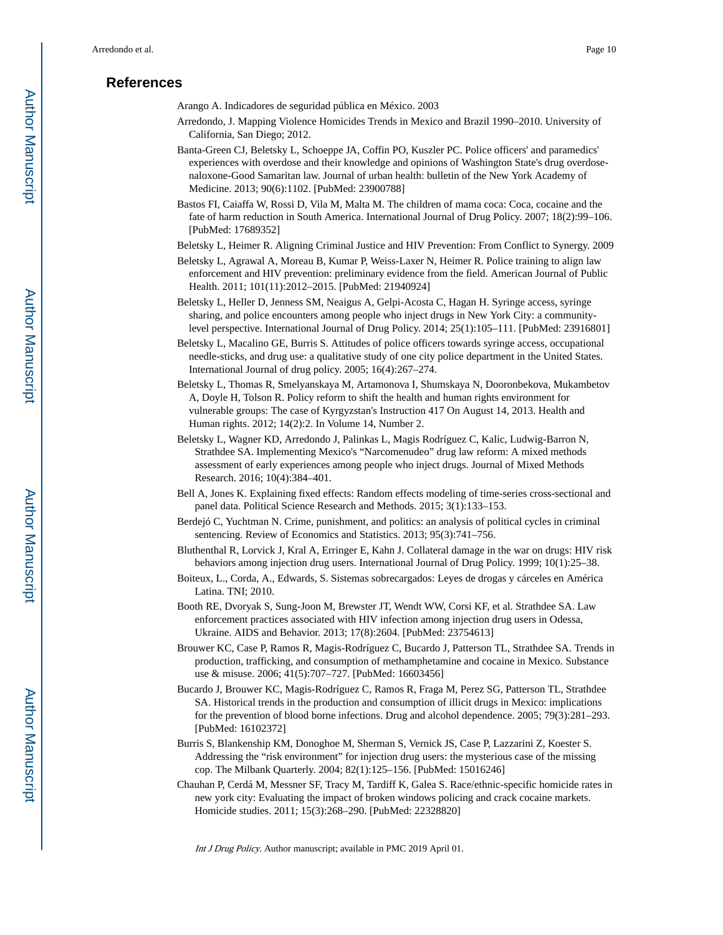#### **References**

- Arango A. Indicadores de seguridad pública en México. 2003
- Arredondo, J. Mapping Violence Homicides Trends in Mexico and Brazil 1990–2010. University of California, San Diego; 2012.
- Banta-Green CJ, Beletsky L, Schoeppe JA, Coffin PO, Kuszler PC. Police officers' and paramedics' experiences with overdose and their knowledge and opinions of Washington State's drug overdosenaloxone-Good Samaritan law. Journal of urban health: bulletin of the New York Academy of Medicine. 2013; 90(6):1102. [PubMed: 23900788]
- Bastos FI, Caiaffa W, Rossi D, Vila M, Malta M. The children of mama coca: Coca, cocaine and the fate of harm reduction in South America. International Journal of Drug Policy. 2007; 18(2):99–106. [PubMed: 17689352]
- Beletsky L, Heimer R. Aligning Criminal Justice and HIV Prevention: From Conflict to Synergy. 2009
- Beletsky L, Agrawal A, Moreau B, Kumar P, Weiss-Laxer N, Heimer R. Police training to align law enforcement and HIV prevention: preliminary evidence from the field. American Journal of Public Health. 2011; 101(11):2012–2015. [PubMed: 21940924]
- Beletsky L, Heller D, Jenness SM, Neaigus A, Gelpi-Acosta C, Hagan H. Syringe access, syringe sharing, and police encounters among people who inject drugs in New York City: a communitylevel perspective. International Journal of Drug Policy. 2014; 25(1):105–111. [PubMed: 23916801]
- Beletsky L, Macalino GE, Burris S. Attitudes of police officers towards syringe access, occupational needle-sticks, and drug use: a qualitative study of one city police department in the United States. International Journal of drug policy. 2005; 16(4):267–274.
- Beletsky L, Thomas R, Smelyanskaya M, Artamonova I, Shumskaya N, Dooronbekova, Mukambetov A, Doyle H, Tolson R. Policy reform to shift the health and human rights environment for vulnerable groups: The case of Kyrgyzstan's Instruction 417 On August 14, 2013. Health and Human rights. 2012; 14(2):2. In Volume 14, Number 2.
- Beletsky L, Wagner KD, Arredondo J, Palinkas L, Magis Rodríguez C, Kalic, Ludwig-Barron N, Strathdee SA. Implementing Mexico's "Narcomenudeo" drug law reform: A mixed methods assessment of early experiences among people who inject drugs. Journal of Mixed Methods Research. 2016; 10(4):384–401.
- Bell A, Jones K. Explaining fixed effects: Random effects modeling of time-series cross-sectional and panel data. Political Science Research and Methods. 2015; 3(1):133–153.
- Berdejó C, Yuchtman N. Crime, punishment, and politics: an analysis of political cycles in criminal sentencing. Review of Economics and Statistics. 2013; 95(3):741–756.
- Bluthenthal R, Lorvick J, Kral A, Erringer E, Kahn J. Collateral damage in the war on drugs: HIV risk behaviors among injection drug users. International Journal of Drug Policy. 1999; 10(1):25–38.
- Boiteux, L., Corda, A., Edwards, S. Sistemas sobrecargados: Leyes de drogas y cárceles en América Latina. TNI; 2010.
- Booth RE, Dvoryak S, Sung-Joon M, Brewster JT, Wendt WW, Corsi KF, et al. Strathdee SA. Law enforcement practices associated with HIV infection among injection drug users in Odessa, Ukraine. AIDS and Behavior. 2013; 17(8):2604. [PubMed: 23754613]
- Brouwer KC, Case P, Ramos R, Magis-Rodríguez C, Bucardo J, Patterson TL, Strathdee SA. Trends in production, trafficking, and consumption of methamphetamine and cocaine in Mexico. Substance use & misuse. 2006; 41(5):707–727. [PubMed: 16603456]
- Bucardo J, Brouwer KC, Magis-Rodríguez C, Ramos R, Fraga M, Perez SG, Patterson TL, Strathdee SA. Historical trends in the production and consumption of illicit drugs in Mexico: implications for the prevention of blood borne infections. Drug and alcohol dependence. 2005; 79(3):281–293. [PubMed: 16102372]
- Burris S, Blankenship KM, Donoghoe M, Sherman S, Vernick JS, Case P, Lazzarini Z, Koester S. Addressing the "risk environment" for injection drug users: the mysterious case of the missing cop. The Milbank Quarterly. 2004; 82(1):125–156. [PubMed: 15016246]
- Chauhan P, Cerdá M, Messner SF, Tracy M, Tardiff K, Galea S. Race/ethnic-specific homicide rates in new york city: Evaluating the impact of broken windows policing and crack cocaine markets. Homicide studies. 2011; 15(3):268–290. [PubMed: 22328820]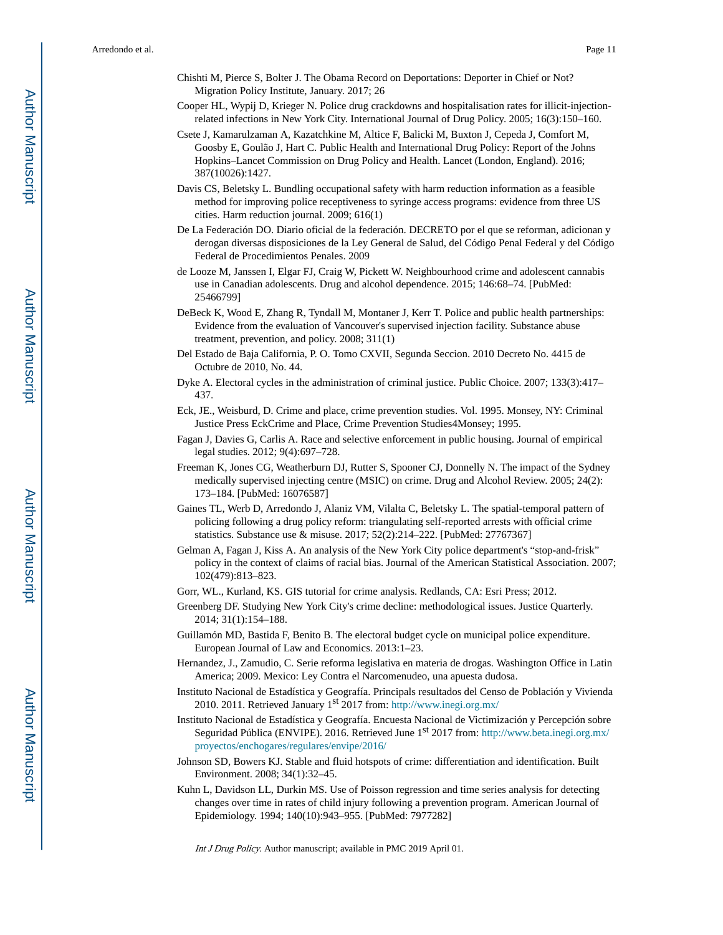- Chishti M, Pierce S, Bolter J. The Obama Record on Deportations: Deporter in Chief or Not? Migration Policy Institute, January. 2017; 26
- Cooper HL, Wypij D, Krieger N. Police drug crackdowns and hospitalisation rates for illicit-injectionrelated infections in New York City. International Journal of Drug Policy. 2005; 16(3):150–160.
- Csete J, Kamarulzaman A, Kazatchkine M, Altice F, Balicki M, Buxton J, Cepeda J, Comfort M, Goosby E, Goulão J, Hart C. Public Health and International Drug Policy: Report of the Johns Hopkins–Lancet Commission on Drug Policy and Health. Lancet (London, England). 2016; 387(10026):1427.
- Davis CS, Beletsky L. Bundling occupational safety with harm reduction information as a feasible method for improving police receptiveness to syringe access programs: evidence from three US cities. Harm reduction journal. 2009; 616(1)
- De La Federación DO. Diario oficial de la federación. DECRETO por el que se reforman, adicionan y derogan diversas disposiciones de la Ley General de Salud, del Código Penal Federal y del Código Federal de Procedimientos Penales. 2009
- de Looze M, Janssen I, Elgar FJ, Craig W, Pickett W. Neighbourhood crime and adolescent cannabis use in Canadian adolescents. Drug and alcohol dependence. 2015; 146:68–74. [PubMed: 25466799]
- DeBeck K, Wood E, Zhang R, Tyndall M, Montaner J, Kerr T. Police and public health partnerships: Evidence from the evaluation of Vancouver's supervised injection facility. Substance abuse treatment, prevention, and policy. 2008; 311(1)
- Del Estado de Baja California, P. O. Tomo CXVII, Segunda Seccion. 2010 Decreto No. 4415 de Octubre de 2010, No. 44.
- Dyke A. Electoral cycles in the administration of criminal justice. Public Choice. 2007; 133(3):417– 437.
- Eck, JE., Weisburd, D. Crime and place, crime prevention studies. Vol. 1995. Monsey, NY: Criminal Justice Press EckCrime and Place, Crime Prevention Studies4Monsey; 1995.
- Fagan J, Davies G, Carlis A. Race and selective enforcement in public housing. Journal of empirical legal studies. 2012; 9(4):697–728.
- Freeman K, Jones CG, Weatherburn DJ, Rutter S, Spooner CJ, Donnelly N. The impact of the Sydney medically supervised injecting centre (MSIC) on crime. Drug and Alcohol Review. 2005; 24(2): 173–184. [PubMed: 16076587]
- Gaines TL, Werb D, Arredondo J, Alaniz VM, Vilalta C, Beletsky L. The spatial-temporal pattern of policing following a drug policy reform: triangulating self-reported arrests with official crime statistics. Substance use & misuse. 2017; 52(2):214–222. [PubMed: 27767367]
- Gelman A, Fagan J, Kiss A. An analysis of the New York City police department's "stop-and-frisk" policy in the context of claims of racial bias. Journal of the American Statistical Association. 2007; 102(479):813–823.
- Gorr, WL., Kurland, KS. GIS tutorial for crime analysis. Redlands, CA: Esri Press; 2012.
- Greenberg DF. Studying New York City's crime decline: methodological issues. Justice Quarterly. 2014; 31(1):154–188.
- Guillamón MD, Bastida F, Benito B. The electoral budget cycle on municipal police expenditure. European Journal of Law and Economics. 2013:1–23.
- Hernandez, J., Zamudio, C. Serie reforma legislativa en materia de drogas. Washington Office in Latin America; 2009. Mexico: Ley Contra el Narcomenudeo, una apuesta dudosa.
- Instituto Nacional de Estadística y Geografía. Principals resultados del Censo de Población y Vivienda 2010. 2011. Retrieved January 1st 2017 from: <http://www.inegi.org.mx/>
- Instituto Nacional de Estadística y Geografía. Encuesta Nacional de Victimización y Percepción sobre Seguridad Pública (ENVIPE). 2016. Retrieved June 1st 2017 from: [http://www.beta.inegi.org.mx/](http://www.beta.inegi.org.mx/proyectos/enchogares/regulares/envipe/2016/) [proyectos/enchogares/regulares/envipe/2016/](http://www.beta.inegi.org.mx/proyectos/enchogares/regulares/envipe/2016/)
- Johnson SD, Bowers KJ. Stable and fluid hotspots of crime: differentiation and identification. Built Environment. 2008; 34(1):32–45.
- Kuhn L, Davidson LL, Durkin MS. Use of Poisson regression and time series analysis for detecting changes over time in rates of child injury following a prevention program. American Journal of Epidemiology. 1994; 140(10):943–955. [PubMed: 7977282]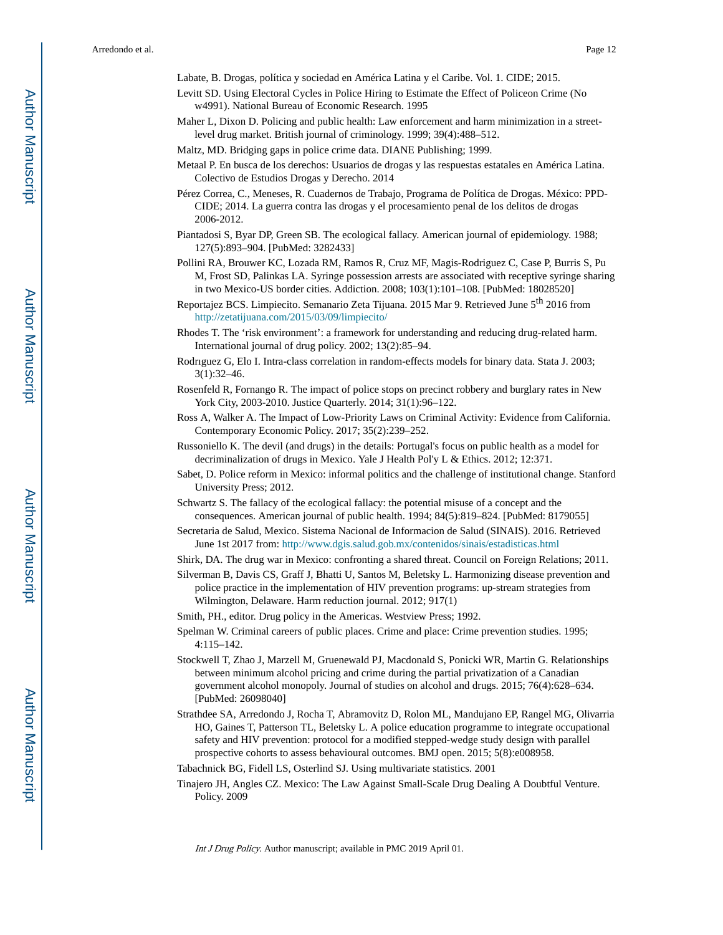Labate, B. Drogas, política y sociedad en América Latina y el Caribe. Vol. 1. CIDE; 2015.

- Levitt SD. Using Electoral Cycles in Police Hiring to Estimate the Effect of Policeon Crime (No w4991). National Bureau of Economic Research. 1995
- Maher L, Dixon D. Policing and public health: Law enforcement and harm minimization in a streetlevel drug market. British journal of criminology. 1999; 39(4):488–512.
- Maltz, MD. Bridging gaps in police crime data. DIANE Publishing; 1999.
- Metaal P. En busca de los derechos: Usuarios de drogas y las respuestas estatales en América Latina. Colectivo de Estudios Drogas y Derecho. 2014
- Pérez Correa, C., Meneses, R. Cuadernos de Trabajo, Programa de Política de Drogas. México: PPD-CIDE; 2014. La guerra contra las drogas y el procesamiento penal de los delitos de drogas 2006-2012.
- Piantadosi S, Byar DP, Green SB. The ecological fallacy. American journal of epidemiology. 1988; 127(5):893–904. [PubMed: 3282433]
- Pollini RA, Brouwer KC, Lozada RM, Ramos R, Cruz MF, Magis-Rodriguez C, Case P, Burris S, Pu M, Frost SD, Palinkas LA. Syringe possession arrests are associated with receptive syringe sharing in two Mexico-US border cities. Addiction. 2008; 103(1):101–108. [PubMed: 18028520]
- Reportajez BCS. Limpiecito. Semanario Zeta Tijuana. 2015 Mar 9. Retrieved June 5<sup>th</sup> 2016 from <http://zetatijuana.com/2015/03/09/limpiecito/>
- Rhodes T. The 'risk environment': a framework for understanding and reducing drug-related harm. International journal of drug policy. 2002; 13(2):85–94.
- Rodrıguez G, Elo I. Intra-class correlation in random-effects models for binary data. Stata J. 2003; 3(1):32–46.
- Rosenfeld R, Fornango R. The impact of police stops on precinct robbery and burglary rates in New York City, 2003-2010. Justice Quarterly. 2014; 31(1):96–122.
- Ross A, Walker A. The Impact of Low-Priority Laws on Criminal Activity: Evidence from California. Contemporary Economic Policy. 2017; 35(2):239–252.
- Russoniello K. The devil (and drugs) in the details: Portugal's focus on public health as a model for decriminalization of drugs in Mexico. Yale J Health Pol'y L & Ethics. 2012; 12:371.
- Sabet, D. Police reform in Mexico: informal politics and the challenge of institutional change. Stanford University Press; 2012.
- Schwartz S. The fallacy of the ecological fallacy: the potential misuse of a concept and the consequences. American journal of public health. 1994; 84(5):819–824. [PubMed: 8179055]
- Secretaria de Salud, Mexico. Sistema Nacional de Informacion de Salud (SINAIS). 2016. Retrieved June 1st 2017 from:<http://www.dgis.salud.gob.mx/contenidos/sinais/estadisticas.html>

Shirk, DA. The drug war in Mexico: confronting a shared threat. Council on Foreign Relations; 2011.

- Silverman B, Davis CS, Graff J, Bhatti U, Santos M, Beletsky L. Harmonizing disease prevention and police practice in the implementation of HIV prevention programs: up-stream strategies from Wilmington, Delaware. Harm reduction journal. 2012; 917(1)
- Smith, PH., editor. Drug policy in the Americas. Westview Press; 1992.
- Spelman W. Criminal careers of public places. Crime and place: Crime prevention studies. 1995; 4:115–142.
- Stockwell T, Zhao J, Marzell M, Gruenewald PJ, Macdonald S, Ponicki WR, Martin G. Relationships between minimum alcohol pricing and crime during the partial privatization of a Canadian government alcohol monopoly. Journal of studies on alcohol and drugs. 2015; 76(4):628–634. [PubMed: 26098040]
- Strathdee SA, Arredondo J, Rocha T, Abramovitz D, Rolon ML, Mandujano EP, Rangel MG, Olivarria HO, Gaines T, Patterson TL, Beletsky L. A police education programme to integrate occupational safety and HIV prevention: protocol for a modified stepped-wedge study design with parallel prospective cohorts to assess behavioural outcomes. BMJ open. 2015; 5(8):e008958.
- Tabachnick BG, Fidell LS, Osterlind SJ. Using multivariate statistics. 2001
- Tinajero JH, Angles CZ. Mexico: The Law Against Small-Scale Drug Dealing A Doubtful Venture. Policy. 2009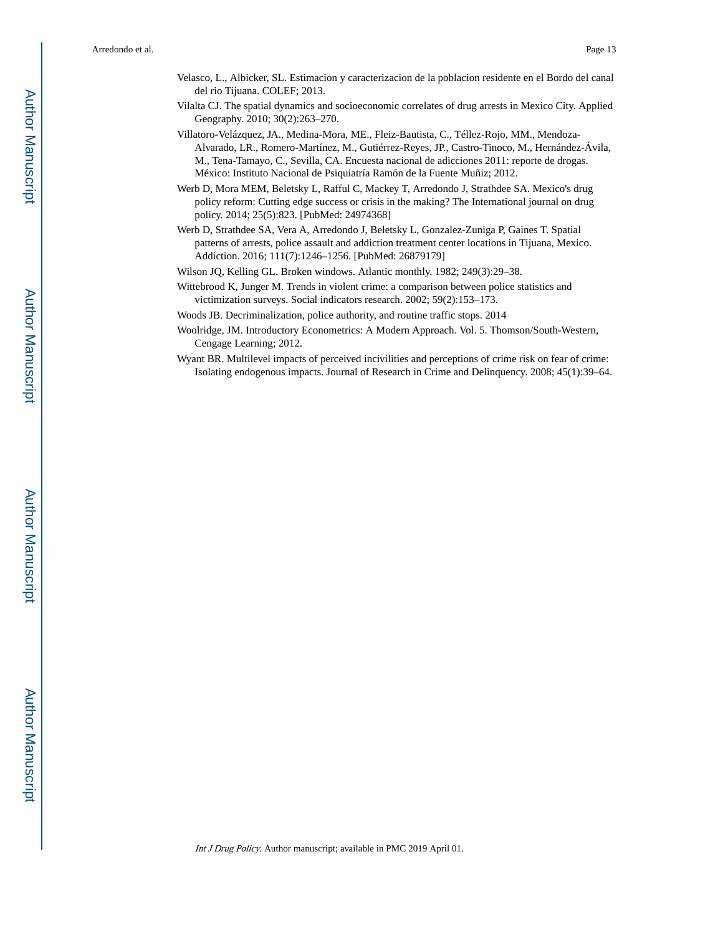- Velasco, L., Albicker, SL. Estimacion y caracterizacion de la poblacion residente en el Bordo del canal del rio Tijuana. COLEF; 2013.
- Vilalta CJ. The spatial dynamics and socioeconomic correlates of drug arrests in Mexico City. Applied Geography. 2010; 30(2):263–270.
- Villatoro-Velázquez, JA., Medina-Mora, ME., Fleiz-Bautista, C., Téllez-Rojo, MM., Mendoza-Alvarado, LR., Romero-Martínez, M., Gutiérrez-Reyes, JP., Castro-Tinoco, M., Hernández-Ávila, M., Tena-Tamayo, C., Sevilla, CA. Encuesta nacional de adicciones 2011: reporte de drogas. México: Instituto Nacional de Psiquiatría Ramón de la Fuente Muñiz; 2012.
- Werb D, Mora MEM, Beletsky L, Rafful C, Mackey T, Arredondo J, Strathdee SA. Mexico's drug policy reform: Cutting edge success or crisis in the making? The International journal on drug policy. 2014; 25(5):823. [PubMed: 24974368]
- Werb D, Strathdee SA, Vera A, Arredondo J, Beletsky L, Gonzalez-Zuniga P, Gaines T. Spatial patterns of arrests, police assault and addiction treatment center locations in Tijuana, Mexico. Addiction. 2016; 111(7):1246–1256. [PubMed: 26879179]
- Wilson JQ, Kelling GL. Broken windows. Atlantic monthly. 1982; 249(3):29–38.
- Wittebrood K, Junger M. Trends in violent crime: a comparison between police statistics and victimization surveys. Social indicators research. 2002; 59(2):153–173.
- Woods JB. Decriminalization, police authority, and routine traffic stops. 2014
- Woolridge, JM. Introductory Econometrics: A Modern Approach. Vol. 5. Thomson/South-Western, Cengage Learning; 2012.
- Wyant BR. Multilevel impacts of perceived incivilities and perceptions of crime risk on fear of crime: Isolating endogenous impacts. Journal of Research in Crime and Delinquency. 2008; 45(1):39–64.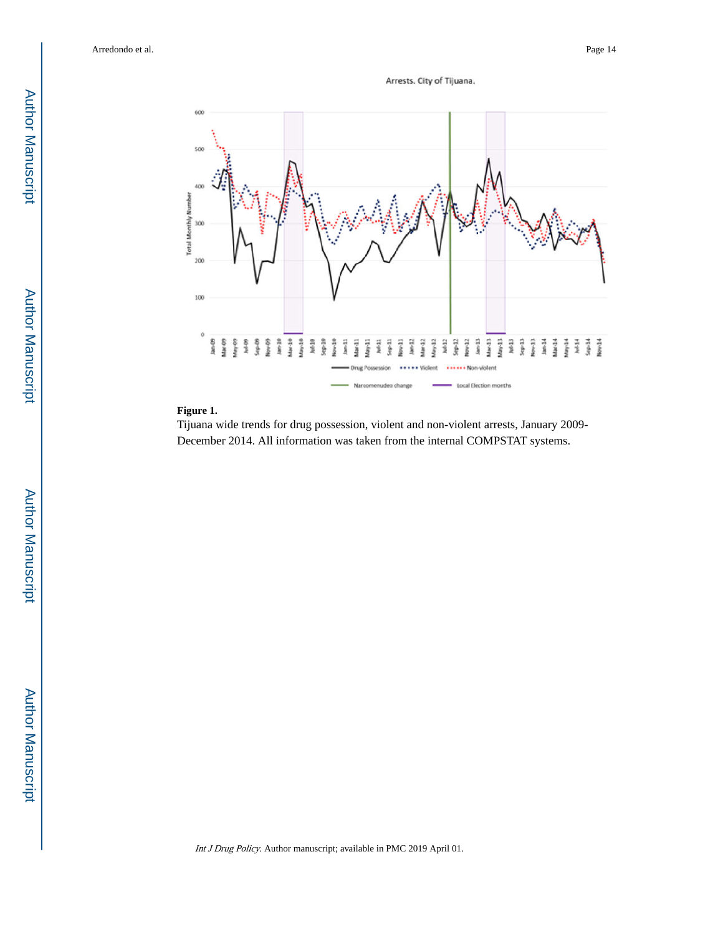Arrests. City of Tijuana.



#### **Figure 1.**

Tijuana wide trends for drug possession, violent and non-violent arrests, January 2009- December 2014. All information was taken from the internal COMPSTAT systems.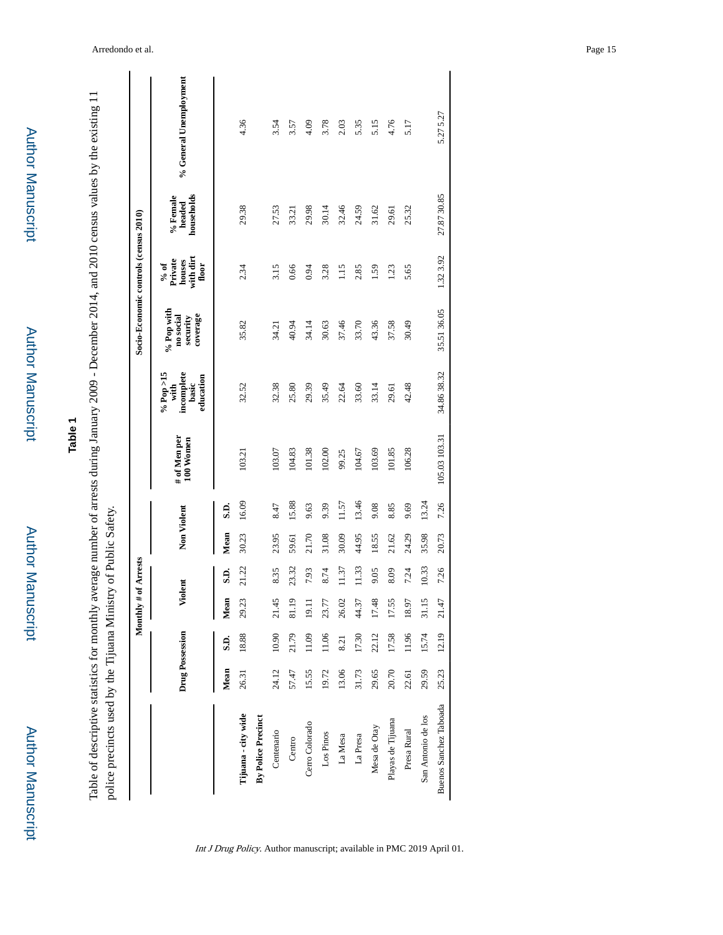| 'n |
|----|
|    |
|    |
| í  |
|    |
|    |
|    |
| ı  |
|    |
|    |
|    |
|    |
|    |
|    |
|    |
|    |
|    |
| ٠  |
| ı  |

# **Table 1**

Table of descriptive statistics for monthly average number of arrests during January 2009 - December 2014, and 2010 census values by the existing 11 Table of descriptive statistics for monthly average number of arrests during January 2009 - December 2014, and 2010 census values by the existing 11 police precincts used by the Tijuana Ministry of Public Safety. police precincts used by the Tijuana Ministry of Public Safety.

|                        |                 |       |         | Monthly # of Arrests |             |       |                           |                                                       | Socio-Economic controls (census 2010)           |                                                 |                                  |                        |
|------------------------|-----------------|-------|---------|----------------------|-------------|-------|---------------------------|-------------------------------------------------------|-------------------------------------------------|-------------------------------------------------|----------------------------------|------------------------|
|                        | Drug Possession |       | Violent |                      | Non Violent |       | # of Men per<br>100 Women | % Pop >15<br>incomplete<br>education<br>basic<br>with | % Pop with<br>coverage<br>no social<br>security | with dirt<br>Private<br>houses<br>% of<br>floor | households<br>% Female<br>headed | % General Unemployment |
|                        | Mean            | S.D.  | Mean    | S.D.                 | Mean        | Ġ,    |                           |                                                       |                                                 |                                                 |                                  |                        |
| Tijuana - city wide    | 26.31           | 18.88 | 29.23   | 21.22                | 30.23       | 16.09 | 103.21                    | 32.52                                                 | 35.82                                           | 2.34                                            | 29.38                            | 4.36                   |
| By Police Precinct     |                 |       |         |                      |             |       |                           |                                                       |                                                 |                                                 |                                  |                        |
| Centenario             | 24.12           | 10.90 | 21.45   | 8.35                 | 23.95       | 8.47  | 103.07                    | 32.38                                                 | 34.21                                           | 3.15                                            | 27.53                            | 3.54                   |
| Centro                 | 57.47           | 21.79 | 81.19   | 23.32                | 59.61       | 15.88 | 104.83                    | 25.80                                                 | 40.94                                           | 0.66                                            | 33.21                            | 3.57                   |
| Cerro Colorado         | 15.55           | 11.09 | 19.11   | 7.93                 | 21.70       | 9.63  | 101.38                    | 29.39                                                 | 34.14                                           | 0.94                                            | 29.98                            | 4.09                   |
| Los Pinos              | 19.72           | 11.06 | 23.77   | 8.74                 | 31.08       | 9.39  | 102.00                    | 35.49                                                 | 30.63                                           | 3.28                                            | 30.14                            | 3.78                   |
| La Mesa                | 13.06           | 8.21  | 26.02   | 11.37                | 30.09       | 11.57 | 99.25                     | 22.64                                                 | 37.46                                           | 1.15                                            | 32.46                            | 2.03                   |
| La Presa               | 31.73           | 17.30 | 44.37   | 11.33                | 44.95       | 13.46 | 104.67                    | 33.60                                                 | 33.70                                           | 2.85                                            | 24.59                            | 5.35                   |
| Mesa de Otay           | 29.65           | 22.12 | 17.48   | 9.05                 | 18.55       | 9.08  | 103.69                    | 33.14                                                 | 43.36                                           | 1.59                                            | 31.62                            | 5.15                   |
| Playas de Tijuana      | 20.70           | 17.58 | 17.55   | 8.09                 | 21.62       | 8.85  | 101.85                    | 29.61                                                 | 37.58                                           | 1.23                                            | 29.61                            | 4.76                   |
| Presa Rural            | 22.61           | 11.96 | 18.97   | 7.24                 | 24.29       | 9.69  | 106.28                    | 42.48                                                 | 30.49                                           | 5.65                                            | 25.32                            | 5.17                   |
| San Antonio de los     | 29.59           | 15.74 | 31.15   | 10.33                | 35.98       | 13.24 |                           |                                                       |                                                 |                                                 |                                  |                        |
| Buenos Sanchez Taboada | 25.23           | 12.19 | 21.47   | 7.26                 | 20.73       | 7.26  | 105.03 103.31             | 34.86 38.32                                           | 35.51 36.05                                     | 1.323.92                                        | 27.87 30.85                      | 5.27 5.27              |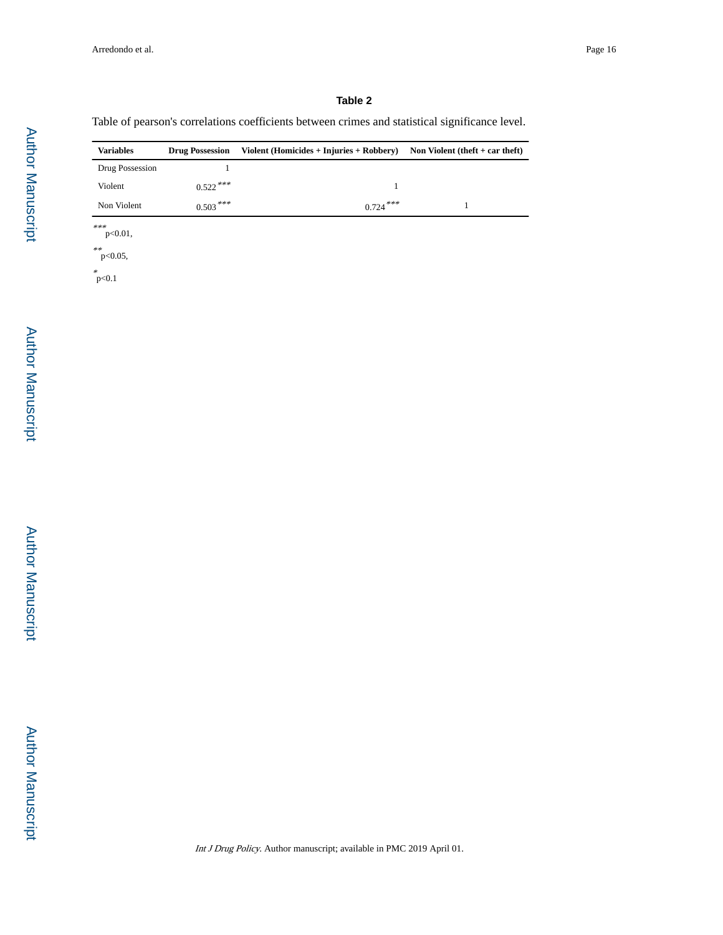#### **Table 2**

Table of pearson's correlations coefficients between crimes and statistical significance level.

| <b>Variables</b>  | <b>Drug Possession</b> | Violent (Homicides + Injuries + Robbery) | Non Violent (theft $+$ car theft) |
|-------------------|------------------------|------------------------------------------|-----------------------------------|
| Drug Possession   |                        |                                          |                                   |
| Violent           | $0.522$ ***            |                                          |                                   |
| Non Violent       | $0.503***$             | $0.724$ ***                              |                                   |
| ***<br>$p<0.01$ , |                        |                                          |                                   |

\*\* p<0.05,

\* p<0.1

Author Manuscript

**Author Manuscript**